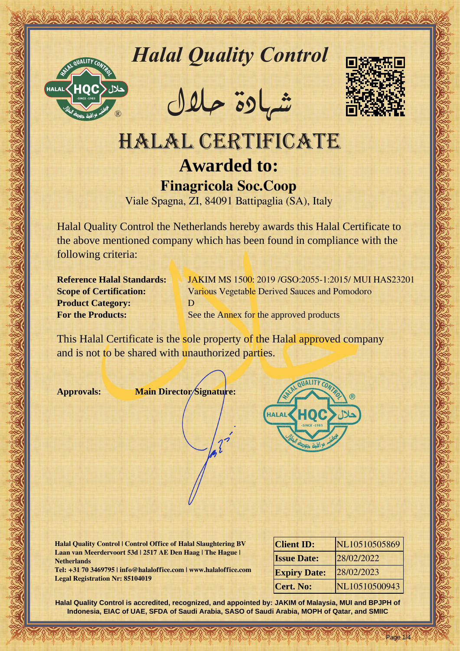

# *Halal Quality Control*

REACTOR AND THE REAL PROPERTY OF THE REAL PROPERTY

�شهادة حالل



# Hallal Quality Control exception<br>
HALAL CERTIFICATE<br>
HALAL CERTIFICATE<br>
Function Soc.Coop<br>
Vide Spagn, ZI, 84091 Battipaglia (SA), Italy<br>
Cooperation Sec.Coop<br>
Vide Spagn, ZI, 84091 Battipaglia (SA), Italy<br>
the above menti HALAL CERTIFICATE **Awarded to: Finagricola Soc.Coop**

Viale Spagna, ZI, 84091 Battipaglia (SA), Italy

Halal Quality Control the Netherlands hereby awards this Halal Certificate to the above mentioned company which has been found in compliance with the following criteria:

**Product Category:** D

**Reference Halal Standards: JAKIM MS 1500: 2019 / GSO: 2055-1: 2015/ MUI HAS23201 Scope of Certification:** Various Vegetable Derived Sauces and Pomodoro **For the Products:** See the Annex for the approved products

This Halal Certificate is the sole property of the Halal approved company and is not to be shared with unauthorized parties.

**Approvals: Main Director Signature:**



**Halal Quality Control | Control Office of Halal Slaughtering BV Laan van Meerdervoort 53d | 2517 AE Den Haag | The Hague | Netherlands**

**Tel: +31 70 3469795 | info@halaloffice.com | www.halaloffice.com Legal Registration Nr: 85104019**

| <b>Client ID:</b>   | NL10510505869 |
|---------------------|---------------|
| <b>Issue Date:</b>  | 28/02/2022    |
| <b>Expiry Date:</b> | 28/02/2023    |
| Cert. No:           | NL10510500943 |

Page 1/4

**Halal Quality Control is accredited, recognized, and appointed by: JAKIM of Malaysia, MUI and BPJPH of Indonesia, EIAC of UAE, SFDA of Saudi Arabia, SASO of Saudi Arabia, MOPH of Qatar, and SMIIC**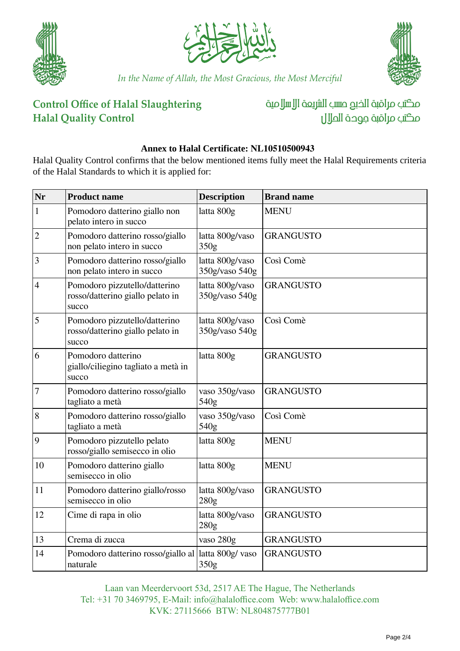





*In the Name of Allah, the Most Gracious, the Most Merciful*

# **Control Office of Halal Slaughtering Halal Quality Control**

مكتب مراقبة الذبم صسب الشريعة الإسلامية مكتب مراقبة جودة المال

#### **Annex to Halal Certificate: NL10510500943**

Halal Quality Control confirms that the below mentioned items fully meet the Halal Requirements criteria of the Halal Standards to which it is applied for:

| Nr             | <b>Product name</b>                                                        | <b>Description</b>                | <b>Brand name</b> |
|----------------|----------------------------------------------------------------------------|-----------------------------------|-------------------|
| $\mathbf{1}$   | Pomodoro datterino giallo non<br>pelato intero in succo                    | latta 800g                        | <b>MENU</b>       |
| $\overline{2}$ | Pomodoro datterino rosso/giallo<br>non pelato intero in succo              | latta 800g/vaso<br>350g           | <b>GRANGUSTO</b>  |
| 3              | Pomodoro datterino rosso/giallo<br>non pelato intero in succo              | latta 800g/vaso<br>350g/vaso 540g | Così Comè         |
| 4              | Pomodoro pizzutello/datterino<br>rosso/datterino giallo pelato in<br>succo | latta 800g/vaso<br>350g/vaso 540g | <b>GRANGUSTO</b>  |
| 5              | Pomodoro pizzutello/datterino<br>rosso/datterino giallo pelato in<br>succo | latta 800g/vaso<br>350g/vaso 540g | Così Comè         |
| 6              | Pomodoro datterino<br>giallo/ciliegino tagliato a metà in<br>succo         | latta 800g                        | <b>GRANGUSTO</b>  |
| 7              | Pomodoro datterino rosso/giallo<br>tagliato a metà                         | vaso 350g/vaso<br>540g            | <b>GRANGUSTO</b>  |
| 8              | Pomodoro datterino rosso/giallo<br>tagliato a metà                         | vaso 350g/vaso<br>540g            | Così Comè         |
| $\vert 9$      | Pomodoro pizzutello pelato<br>rosso/giallo semisecco in olio               | latta 800g                        | <b>MENU</b>       |
| 10             | Pomodoro datterino giallo<br>semisecco in olio                             | latta 800g                        | <b>MENU</b>       |
| 11             | Pomodoro datterino giallo/rosso<br>semisecco in olio                       | latta 800g/vaso<br>280g           | <b>GRANGUSTO</b>  |
| 12             | Cime di rapa in olio                                                       | latta 800g/vaso<br>280g           | <b>GRANGUSTO</b>  |
| 13             | Crema di zucca                                                             | vaso 280g                         | <b>GRANGUSTO</b>  |
| 14             | Pomodoro datterino rosso/giallo al<br>naturale                             | latta 800g/ vaso<br>350g          | <b>GRANGUSTO</b>  |

Laan van Meerdervoort 53d, 2517 AE The Hague, The Netherlands Tel: +31 70 3469795, E-Mail: info@halaloffice.com Web: www.halaloffice.com KVK: 27115666 BTW: NL804875777B01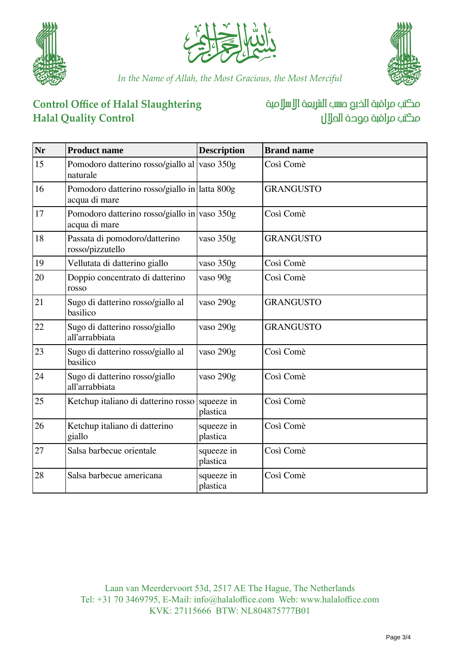





*In the Name of Allah, the Most Gracious, the Most Merciful*

# **Control Office of Halal Slaughtering Halal Quality Control**

# مكتب مراقبة الخبع صسب الشريعة الإسلامية مكتب مراقبة جودة الملال

| <b>Nr</b> | <b>Product name</b>                                            | <b>Description</b>     | <b>Brand name</b> |
|-----------|----------------------------------------------------------------|------------------------|-------------------|
| 15        | Pomodoro datterino rosso/giallo al vaso 350g<br>naturale       |                        | Così Comè         |
| 16        | Pomodoro datterino rosso/giallo in latta 800g<br>acqua di mare |                        | <b>GRANGUSTO</b>  |
| 17        | Pomodoro datterino rosso/giallo in vaso 350g<br>acqua di mare  |                        | Così Comè         |
| 18        | Passata di pomodoro/datterino<br>rosso/pizzutello              | vaso 350g              | <b>GRANGUSTO</b>  |
| 19        | Vellutata di datterino giallo                                  | vaso 350g              | Così Comè         |
| 20        | Doppio concentrato di datterino<br>rosso                       | vaso 90g               | Così Comè         |
| 21        | Sugo di datterino rosso/giallo al<br>basilico                  | vaso 290g              | <b>GRANGUSTO</b>  |
| 22        | Sugo di datterino rosso/giallo<br>all'arrabbiata               | vaso 290g              | <b>GRANGUSTO</b>  |
| 23        | Sugo di datterino rosso/giallo al<br>basilico                  | vaso 290g              | Così Comè         |
| 24        | Sugo di datterino rosso/giallo<br>all'arrabbiata               | vaso 290g              | Così Comè         |
| 25        | Ketchup italiano di datterino rosso                            | squeeze in<br>plastica | Così Comè         |
| 26        | Ketchup italiano di datterino<br>giallo                        | squeeze in<br>plastica | Così Comè         |
| 27        | Salsa barbecue orientale                                       | squeeze in<br>plastica | Così Comè         |
| 28        | Salsa barbecue americana                                       | squeeze in<br>plastica | Così Comè         |